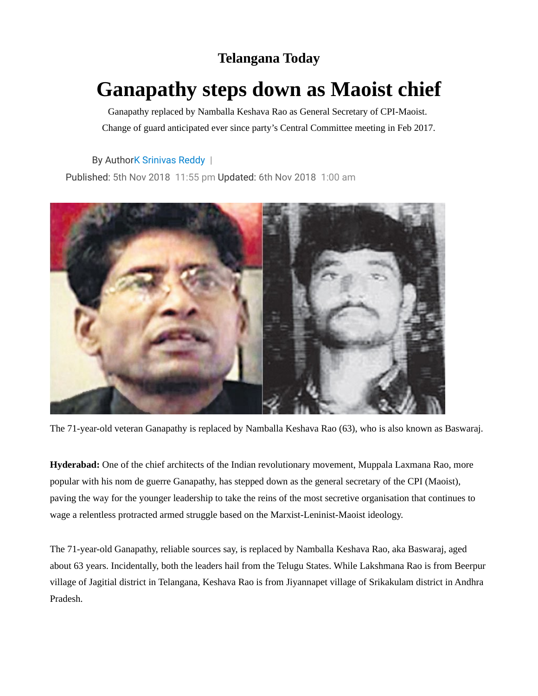## **Telangana Today**

## **Ganapathy steps down as Maoist chief**

Ganapathy replaced by Namballa Keshava Rao as General Secretary of CPI-Maoist. Change of guard anticipated ever since party's Central Committee meeting in Feb 2017.

By Autho[rK Srinivas Reddy](https://telanganatoday.com/author/k-srinivas-reddy) |

Published: 5th Nov 2018 11:55 pm Updated: 6th Nov 2018 1:00 am



The 71-year-old veteran Ganapathy is replaced by Namballa Keshava Rao (63), who is also known as Baswaraj.

**Hyderabad:** One of the chief architects of the Indian revolutionary movement, Muppala Laxmana Rao, more popular with his nom de guerre Ganapathy, has stepped down as the general secretary of the CPI (Maoist), paving the way for the younger leadership to take the reins of the most secretive organisation that continues to wage a relentless protracted armed struggle based on the Marxist-Leninist-Maoist ideology.

The 71-year-old Ganapathy, reliable sources say, is replaced by Namballa Keshava Rao, aka Baswaraj, aged about 63 years. Incidentally, both the leaders hail from the Telugu States. While Lakshmana Rao is from Beerpur village of Jagitial district in Telangana, Keshava Rao is from Jiyannapet village of Srikakulam district in Andhra Pradesh.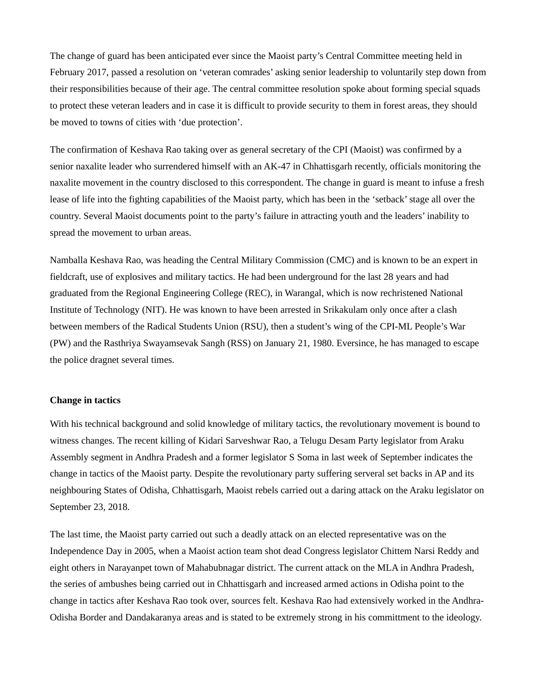The change of guard has been anticipated ever since the Maoist party's Central Committee meeting held in February 2017, passed a resolution on 'veteran comrades' asking senior leadership to voluntarily step down from their responsibilities because of their age. The central committee resolution spoke about forming special squads to protect these veteran leaders and in case it is difficult to provide security to them in forest areas, they should be moved to towns of cities with 'due protection'.

The confirmation of Keshava Rao taking over as general secretary of the CPI (Maoist) was confirmed by a senior naxalite leader who surrendered himself with an AK-47 in Chhattisgarh recently, officials monitoring the naxalite movement in the country disclosed to this correspondent. The change in guard is meant to infuse a fresh lease of life into the fighting capabilities of the Maoist party, which has been in the 'setback' stage all over the country. Several Maoist documents point to the party's failure in attracting youth and the leaders' inability to spread the movement to urban areas.

Namballa Keshava Rao, was heading the Central Military Commission (CMC) and is known to be an expert in fieldcraft, use of explosives and military tactics. He had been underground for the last 28 years and had graduated from the Regional Engineering College (REC), in Warangal, which is now rechristened National Institute of Technology (NIT). He was known to have been arrested in Srikakulam only once after a clash between members of the Radical Students Union (RSU), then a student's wing of the CPI-ML People's War (PW) and the Rasthriya Swayamsevak Sangh (RSS) on January 21, 1980. Eversince, he has managed to escape the police dragnet several times.

## **Change in tactics**

With his technical background and solid knowledge of military tactics, the revolutionary movement is bound to witness changes. The recent killing of Kidari Sarveshwar Rao, a Telugu Desam Party legislator from Araku Assembly segment in Andhra Pradesh and a former legislator S Soma in last week of September indicates the change in tactics of the Maoist party. Despite the revolutionary party suffering serveral set backs in AP and its neighbouring States of Odisha, Chhattisgarh, Maoist rebels carried out a daring attack on the Araku legislator on September 23, 2018.

The last time, the Maoist party carried out such a deadly attack on an elected representative was on the Independence Day in 2005, when a Maoist action team shot dead Congress legislator Chittem Narsi Reddy and eight others in Narayanpet town of Mahabubnagar district. The current attack on the MLA in Andhra Pradesh, the series of ambushes being carried out in Chhattisgarh and increased armed actions in Odisha point to the change in tactics after Keshava Rao took over, sources felt. Keshava Rao had extensively worked in the Andhra-Odisha Border and Dandakaranya areas and is stated to be extremely strong in his committment to the ideology.